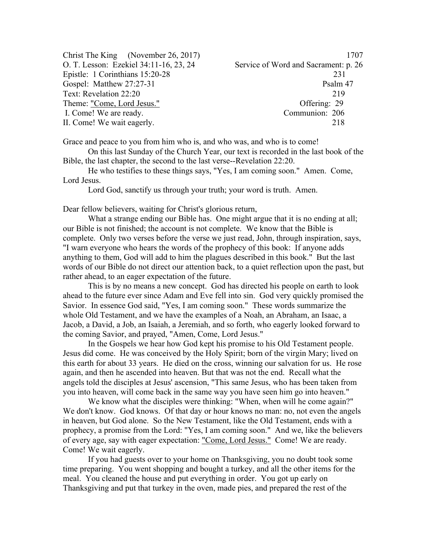| 1707                                 |
|--------------------------------------|
| Service of Word and Sacrament: p. 26 |
| 231                                  |
| Psalm 47                             |
| 219                                  |
| Offering: 29                         |
| Communion: 206                       |
| 218                                  |
|                                      |

Grace and peace to you from him who is, and who was, and who is to come!

On this last Sunday of the Church Year, our text is recorded in the last book of the Bible, the last chapter, the second to the last verse--Revelation 22:20.

He who testifies to these things says, "Yes, I am coming soon." Amen. Come, Lord Jesus.

Lord God, sanctify us through your truth; your word is truth. Amen.

Dear fellow believers, waiting for Christ's glorious return,

What a strange ending our Bible has. One might argue that it is no ending at all; our Bible is not finished; the account is not complete. We know that the Bible is complete. Only two verses before the verse we just read, John, through inspiration, says, "I warn everyone who hears the words of the prophecy of this book: If anyone adds anything to them, God will add to him the plagues described in this book." But the last words of our Bible do not direct our attention back, to a quiet reflection upon the past, but rather ahead, to an eager expectation of the future.

This is by no means a new concept. God has directed his people on earth to look ahead to the future ever since Adam and Eve fell into sin. God very quickly promised the Savior. In essence God said, "Yes, I am coming soon." These words summarize the whole Old Testament, and we have the examples of a Noah, an Abraham, an Isaac, a Jacob, a David, a Job, an Isaiah, a Jeremiah, and so forth, who eagerly looked forward to the coming Savior, and prayed, "Amen, Come, Lord Jesus."

In the Gospels we hear how God kept his promise to his Old Testament people. Jesus did come. He was conceived by the Holy Spirit; born of the virgin Mary; lived on this earth for about 33 years. He died on the cross, winning our salvation for us. He rose again, and then he ascended into heaven. But that was not the end. Recall what the angels told the disciples at Jesus' ascension, "This same Jesus, who has been taken from you into heaven, will come back in the same way you have seen him go into heaven."

We know what the disciples were thinking: "When, when will he come again?" We don't know. God knows. Of that day or hour knows no man: no, not even the angels in heaven, but God alone. So the New Testament, like the Old Testament, ends with a prophecy, a promise from the Lord: "Yes, I am coming soon." And we, like the believers of every age, say with eager expectation: "Come, Lord Jesus." Come! We are ready. Come! We wait eagerly.

If you had guests over to your home on Thanksgiving, you no doubt took some time preparing. You went shopping and bought a turkey, and all the other items for the meal. You cleaned the house and put everything in order. You got up early on Thanksgiving and put that turkey in the oven, made pies, and prepared the rest of the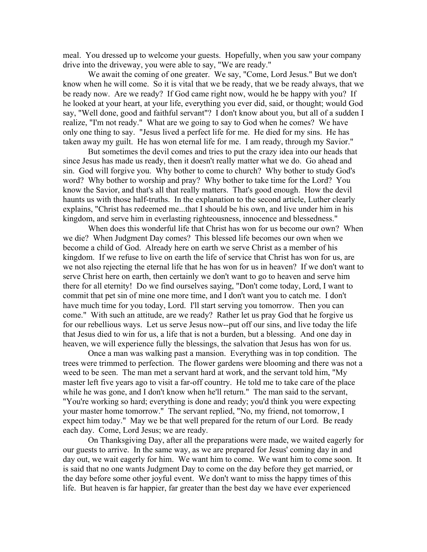meal. You dressed up to welcome your guests. Hopefully, when you saw your company drive into the driveway, you were able to say, "We are ready."

We await the coming of one greater. We say, "Come, Lord Jesus." But we don't know when he will come. So it is vital that we be ready, that we be ready always, that we be ready now. Are we ready? If God came right now, would he be happy with you? If he looked at your heart, at your life, everything you ever did, said, or thought; would God say, "Well done, good and faithful servant"? I don't know about you, but all of a sudden I realize, "I'm not ready." What are we going to say to God when he comes? We have only one thing to say. "Jesus lived a perfect life for me. He died for my sins. He has taken away my guilt. He has won eternal life for me. I am ready, through my Savior."

But sometimes the devil comes and tries to put the crazy idea into our heads that since Jesus has made us ready, then it doesn't really matter what we do. Go ahead and sin. God will forgive you. Why bother to come to church? Why bother to study God's word? Why bother to worship and pray? Why bother to take time for the Lord? You know the Savior, and that's all that really matters. That's good enough. How the devil haunts us with those half-truths. In the explanation to the second article, Luther clearly explains, "Christ has redeemed me...that I should be his own, and live under him in his kingdom, and serve him in everlasting righteousness, innocence and blessedness."

When does this wonderful life that Christ has won for us become our own? When we die? When Judgment Day comes? This blessed life becomes our own when we become a child of God. Already here on earth we serve Christ as a member of his kingdom. If we refuse to live on earth the life of service that Christ has won for us, are we not also rejecting the eternal life that he has won for us in heaven? If we don't want to serve Christ here on earth, then certainly we don't want to go to heaven and serve him there for all eternity! Do we find ourselves saying, "Don't come today, Lord, I want to commit that pet sin of mine one more time, and I don't want you to catch me. I don't have much time for you today, Lord. I'll start serving you tomorrow. Then you can come." With such an attitude, are we ready? Rather let us pray God that he forgive us for our rebellious ways. Let us serve Jesus now--put off our sins, and live today the life that Jesus died to win for us, a life that is not a burden, but a blessing. And one day in heaven, we will experience fully the blessings, the salvation that Jesus has won for us.

Once a man was walking past a mansion. Everything was in top condition. The trees were trimmed to perfection. The flower gardens were blooming and there was not a weed to be seen. The man met a servant hard at work, and the servant told him, "My master left five years ago to visit a far-off country. He told me to take care of the place while he was gone, and I don't know when he'll return." The man said to the servant, "You're working so hard; everything is done and ready; you'd think you were expecting your master home tomorrow." The servant replied, "No, my friend, not tomorrow, I expect him today." May we be that well prepared for the return of our Lord. Be ready each day. Come, Lord Jesus; we are ready.

On Thanksgiving Day, after all the preparations were made, we waited eagerly for our guests to arrive. In the same way, as we are prepared for Jesus' coming day in and day out, we wait eagerly for him. We want him to come. We want him to come soon. It is said that no one wants Judgment Day to come on the day before they get married, or the day before some other joyful event. We don't want to miss the happy times of this life. But heaven is far happier, far greater than the best day we have ever experienced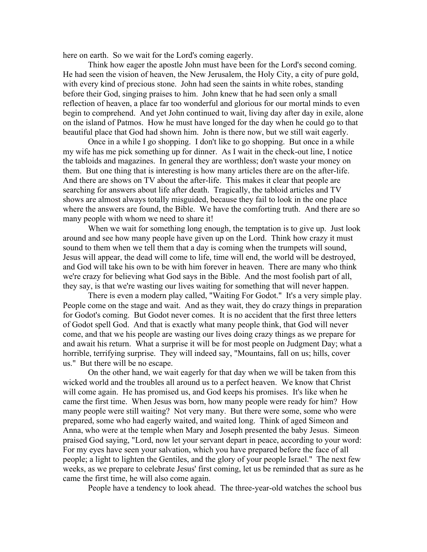here on earth. So we wait for the Lord's coming eagerly.

Think how eager the apostle John must have been for the Lord's second coming. He had seen the vision of heaven, the New Jerusalem, the Holy City, a city of pure gold, with every kind of precious stone. John had seen the saints in white robes, standing before their God, singing praises to him. John knew that he had seen only a small reflection of heaven, a place far too wonderful and glorious for our mortal minds to even begin to comprehend. And yet John continued to wait, living day after day in exile, alone on the island of Patmos. How he must have longed for the day when he could go to that beautiful place that God had shown him. John is there now, but we still wait eagerly.

Once in a while I go shopping. I don't like to go shopping. But once in a while my wife has me pick something up for dinner. As I wait in the check-out line, I notice the tabloids and magazines. In general they are worthless; don't waste your money on them. But one thing that is interesting is how many articles there are on the after-life. And there are shows on TV about the after-life. This makes it clear that people are searching for answers about life after death. Tragically, the tabloid articles and TV shows are almost always totally misguided, because they fail to look in the one place where the answers are found, the Bible. We have the comforting truth. And there are so many people with whom we need to share it!

When we wait for something long enough, the temptation is to give up. Just look around and see how many people have given up on the Lord. Think how crazy it must sound to them when we tell them that a day is coming when the trumpets will sound, Jesus will appear, the dead will come to life, time will end, the world will be destroyed, and God will take his own to be with him forever in heaven. There are many who think we're crazy for believing what God says in the Bible. And the most foolish part of all, they say, is that we're wasting our lives waiting for something that will never happen.

There is even a modern play called, "Waiting For Godot." It's a very simple play. People come on the stage and wait. And as they wait, they do crazy things in preparation for Godot's coming. But Godot never comes. It is no accident that the first three letters of Godot spell God. And that is exactly what many people think, that God will never come, and that we his people are wasting our lives doing crazy things as we prepare for and await his return. What a surprise it will be for most people on Judgment Day; what a horrible, terrifying surprise. They will indeed say, "Mountains, fall on us; hills, cover us." But there will be no escape.

On the other hand, we wait eagerly for that day when we will be taken from this wicked world and the troubles all around us to a perfect heaven. We know that Christ will come again. He has promised us, and God keeps his promises. It's like when he came the first time. When Jesus was born, how many people were ready for him? How many people were still waiting? Not very many. But there were some, some who were prepared, some who had eagerly waited, and waited long. Think of aged Simeon and Anna, who were at the temple when Mary and Joseph presented the baby Jesus. Simeon praised God saying, "Lord, now let your servant depart in peace, according to your word: For my eyes have seen your salvation, which you have prepared before the face of all people; a light to lighten the Gentiles, and the glory of your people Israel." The next few weeks, as we prepare to celebrate Jesus' first coming, let us be reminded that as sure as he came the first time, he will also come again.

People have a tendency to look ahead. The three-year-old watches the school bus